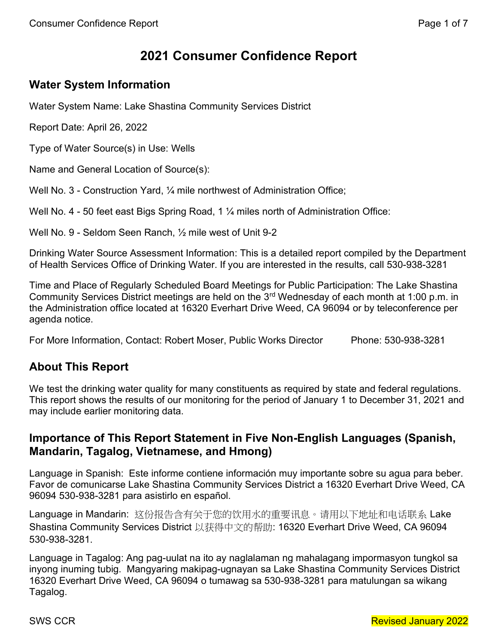# 2021 Consumer Confidence Report

# Water System Information

Water System Name: Lake Shastina Community Services District

Report Date: April 26, 2022

Type of Water Source(s) in Use: Wells

Name and General Location of Source(s):

Well No. 3 - Construction Yard, 1/4 mile northwest of Administration Office;

Well No. 4 - 50 feet east Bigs Spring Road, 1  $\frac{1}{4}$  miles north of Administration Office:

Well No. 9 - Seldom Seen Ranch, ½ mile west of Unit 9-2

Drinking Water Source Assessment Information: This is a detailed report compiled by the Department of Health Services Office of Drinking Water. If you are interested in the results, call 530-938-3281

Time and Place of Regularly Scheduled Board Meetings for Public Participation: The Lake Shastina Community Services District meetings are held on the 3rd Wednesday of each month at 1:00 p.m. in the Administration office located at 16320 Everhart Drive Weed, CA 96094 or by teleconference per agenda notice.

For More Information, Contact: Robert Moser, Public Works Director Phone: 530-938-3281

## About This Report

We test the drinking water quality for many constituents as required by state and federal regulations. This report shows the results of our monitoring for the period of January 1 to December 31, 2021 and may include earlier monitoring data.

## Importance of This Report Statement in Five Non-English Languages (Spanish, Mandarin, Tagalog, Vietnamese, and Hmong)

Language in Spanish: Este informe contiene información muy importante sobre su agua para beber. Favor de comunicarse Lake Shastina Community Services District a 16320 Everhart Drive Weed, CA 96094 530-938-3281 para asistirlo en español.

Language in Mandarin: 这份报告含有关于您的饮用水的重要讯息。请用以下地址和电话联系 Lake Shastina Community Services District 以获得中文的帮助: 16320 Everhart Drive Weed, CA 96094 530-938-3281.

Language in Tagalog: Ang pag-uulat na ito ay naglalaman ng mahalagang impormasyon tungkol sa inyong inuming tubig. Mangyaring makipag-ugnayan sa Lake Shastina Community Services District 16320 Everhart Drive Weed, CA 96094 o tumawag sa 530-938-3281 para matulungan sa wikang Tagalog.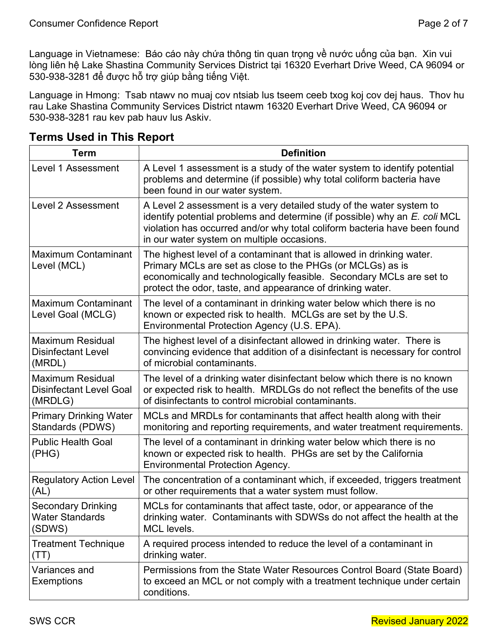Language in Vietnamese: Báo cáo này chứa thông tin quan trọng về nước uống của bạn. Xin vui lòng liên hệ Lake Shastina Community Services District tại 16320 Everhart Drive Weed, CA 96094 or 530-938-3281 để được hỗ trợ giúp bằng tiếng Việt.

Language in Hmong: Tsab ntawv no muaj cov ntsiab lus tseem ceeb txog koj cov dej haus. Thov hu rau Lake Shastina Community Services District ntawm 16320 Everhart Drive Weed, CA 96094 or 530-938-3281 rau kev pab hauv lus Askiv.

| <b>Term</b>                                                          | <b>Definition</b>                                                                                                                                                                                                                                                             |
|----------------------------------------------------------------------|-------------------------------------------------------------------------------------------------------------------------------------------------------------------------------------------------------------------------------------------------------------------------------|
| <b>Level 1 Assessment</b>                                            | A Level 1 assessment is a study of the water system to identify potential<br>problems and determine (if possible) why total coliform bacteria have<br>been found in our water system.                                                                                         |
| <b>Level 2 Assessment</b>                                            | A Level 2 assessment is a very detailed study of the water system to<br>identify potential problems and determine (if possible) why an E. coli MCL<br>violation has occurred and/or why total coliform bacteria have been found<br>in our water system on multiple occasions. |
| <b>Maximum Contaminant</b><br>Level (MCL)                            | The highest level of a contaminant that is allowed in drinking water.<br>Primary MCLs are set as close to the PHGs (or MCLGs) as is<br>economically and technologically feasible. Secondary MCLs are set to<br>protect the odor, taste, and appearance of drinking water.     |
| <b>Maximum Contaminant</b><br>Level Goal (MCLG)                      | The level of a contaminant in drinking water below which there is no<br>known or expected risk to health. MCLGs are set by the U.S.<br>Environmental Protection Agency (U.S. EPA).                                                                                            |
| <b>Maximum Residual</b><br><b>Disinfectant Level</b><br>(MRDL)       | The highest level of a disinfectant allowed in drinking water. There is<br>convincing evidence that addition of a disinfectant is necessary for control<br>of microbial contaminants.                                                                                         |
| <b>Maximum Residual</b><br><b>Disinfectant Level Goal</b><br>(MRDLG) | The level of a drinking water disinfectant below which there is no known<br>or expected risk to health. MRDLGs do not reflect the benefits of the use<br>of disinfectants to control microbial contaminants.                                                                  |
| <b>Primary Drinking Water</b><br>Standards (PDWS)                    | MCLs and MRDLs for contaminants that affect health along with their<br>monitoring and reporting requirements, and water treatment requirements.                                                                                                                               |
| <b>Public Health Goal</b><br>(PHG)                                   | The level of a contaminant in drinking water below which there is no<br>known or expected risk to health. PHGs are set by the California<br><b>Environmental Protection Agency.</b>                                                                                           |
| <b>Regulatory Action Level</b><br>(AL)                               | The concentration of a contaminant which, if exceeded, triggers treatment<br>or other requirements that a water system must follow.                                                                                                                                           |
| <b>Secondary Drinking</b><br><b>Water Standards</b><br>(SDWS)        | MCLs for contaminants that affect taste, odor, or appearance of the<br>drinking water. Contaminants with SDWSs do not affect the health at the<br>MCL levels.                                                                                                                 |
| <b>Treatment Technique</b><br>(TT)                                   | A required process intended to reduce the level of a contaminant in<br>drinking water.                                                                                                                                                                                        |
| Variances and<br><b>Exemptions</b>                                   | Permissions from the State Water Resources Control Board (State Board)<br>to exceed an MCL or not comply with a treatment technique under certain<br>conditions.                                                                                                              |

### Terms Used in This Report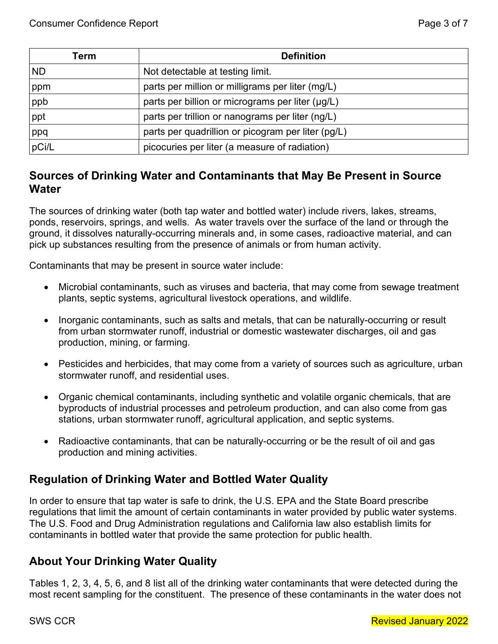| Term  | <b>Definition</b>                                  |
|-------|----------------------------------------------------|
| ND.   | Not detectable at testing limit.                   |
| ppm   | parts per million or milligrams per liter (mg/L)   |
| ppb   | parts per billion or micrograms per liter (µg/L)   |
| ppt   | parts per trillion or nanograms per liter (ng/L)   |
| ppq   | parts per quadrillion or picogram per liter (pg/L) |
| pCi/L | picocuries per liter (a measure of radiation)      |

## Sources of Drinking Water and Contaminants that May Be Present in Source **Water**

The sources of drinking water (both tap water and bottled water) include rivers, lakes, streams, ponds, reservoirs, springs, and wells. As water travels over the surface of the land or through the ground, it dissolves naturally-occurring minerals and, in some cases, radioactive material, and can pick up substances resulting from the presence of animals or from human activity.

Contaminants that may be present in source water include:

- Microbial contaminants, such as viruses and bacteria, that may come from sewage treatment plants, septic systems, agricultural livestock operations, and wildlife.
- Inorganic contaminants, such as salts and metals, that can be naturally-occurring or result from urban stormwater runoff, industrial or domestic wastewater discharges, oil and gas production, mining, or farming.
- Pesticides and herbicides, that may come from a variety of sources such as agriculture, urban stormwater runoff, and residential uses.
- Organic chemical contaminants, including synthetic and volatile organic chemicals, that are byproducts of industrial processes and petroleum production, and can also come from gas stations, urban stormwater runoff, agricultural application, and septic systems.
- Radioactive contaminants, that can be naturally-occurring or be the result of oil and gas production and mining activities.

## Regulation of Drinking Water and Bottled Water Quality

In order to ensure that tap water is safe to drink, the U.S. EPA and the State Board prescribe regulations that limit the amount of certain contaminants in water provided by public water systems. The U.S. Food and Drug Administration regulations and California law also establish limits for contaminants in bottled water that provide the same protection for public health.

## About Your Drinking Water Quality

Tables 1, 2, 3, 4, 5, 6, and 8 list all of the drinking water contaminants that were detected during the most recent sampling for the constituent. The presence of these contaminants in the water does not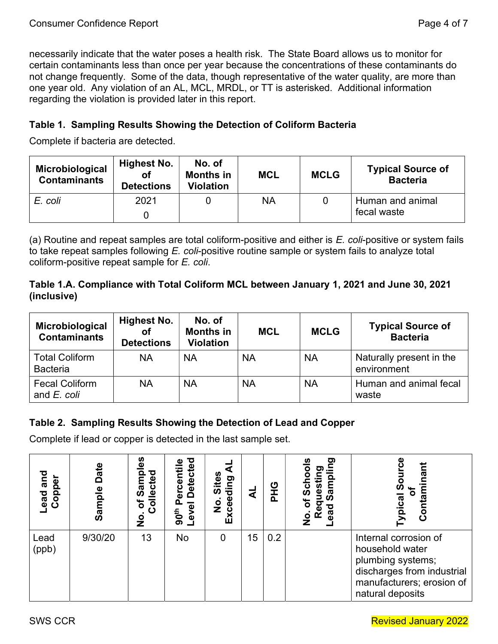necessarily indicate that the water poses a health risk. The State Board allows us to monitor for certain contaminants less than once per year because the concentrations of these contaminants do not change frequently. Some of the data, though representative of the water quality, are more than one year old. Any violation of an AL, MCL, MRDL, or TT is asterisked. Additional information regarding the violation is provided later in this report.

#### Table 1. Sampling Results Showing the Detection of Coliform Bacteria

Complete if bacteria are detected.

| Microbiological<br><b>Contaminants</b> | Highest No.<br>οf<br><b>Detections</b> | No. of<br><b>Months in</b><br><b>Violation</b> | <b>MCL</b> | <b>MCLG</b> | <b>Typical Source of</b><br><b>Bacteria</b> |
|----------------------------------------|----------------------------------------|------------------------------------------------|------------|-------------|---------------------------------------------|
| E. coli                                | 2021                                   |                                                | NA         |             | Human and animal<br>fecal waste             |

(a) Routine and repeat samples are total coliform-positive and either is  $E$ . coli-positive or system fails to take repeat samples following E. coli-positive routine sample or system fails to analyze total coliform-positive repeat sample for E. coli.

#### Table 1.A. Compliance with Total Coliform MCL between January 1, 2021 and June 30, 2021 (inclusive)

| Microbiological<br><b>Contaminants</b>   | Highest No.<br>οf<br><b>Detections</b> | No. of<br><b>Months in</b><br><b>Violation</b> | <b>MCL</b> | <b>MCLG</b> | <b>Typical Source of</b><br><b>Bacteria</b> |
|------------------------------------------|----------------------------------------|------------------------------------------------|------------|-------------|---------------------------------------------|
| <b>Total Coliform</b><br><b>Bacteria</b> | <b>NA</b>                              | ΝA                                             | ΝA         | <b>NA</b>   | Naturally present in the<br>environment     |
| <b>Fecal Coliform</b><br>and E. coli     | <b>NA</b>                              | <b>NA</b>                                      | NA         | <b>NA</b>   | Human and animal fecal<br>waste             |

### Table 2. Sampling Results Showing the Detection of Lead and Copper

Complete if lead or copper is detected in the last sample set.

| and<br>Copper<br><b>bead</b> | Date<br>Φ<br>ō<br>್ಯಾ | ပ္ယ<br>Ω<br>℧<br>Sam<br>್ಲಿ<br><u>ت</u><br>ھ<br>ᅙ<br>৳<br>ပ<br>$\overline{\mathbf{z}}$ | ъ<br>ω<br>Ō<br>rcenti<br>Dete<br>Φ<br>᠊ᠦ<br>90 <sup>th</sup><br>Φ | ທ<br>ding<br>Site®<br>Excee<br>$\frac{1}{2}$ | ৱ  | ပ<br>İ<br>൨ | <b>D.E</b><br>≌≌<br>ω<br>ō<br>σ<br>o<br>ω<br>ලි<br>œ | nant<br>တိ<br>pical<br>Conta                                                                                                                 |
|------------------------------|-----------------------|----------------------------------------------------------------------------------------|-------------------------------------------------------------------|----------------------------------------------|----|-------------|------------------------------------------------------|----------------------------------------------------------------------------------------------------------------------------------------------|
| Lead<br>(ppb)                | 9/30/20               | 13                                                                                     | No                                                                | $\overline{0}$                               | 15 | 0.2         |                                                      | Internal corrosion of<br>household water<br>plumbing systems;<br>discharges from industrial<br>manufacturers; erosion of<br>natural deposits |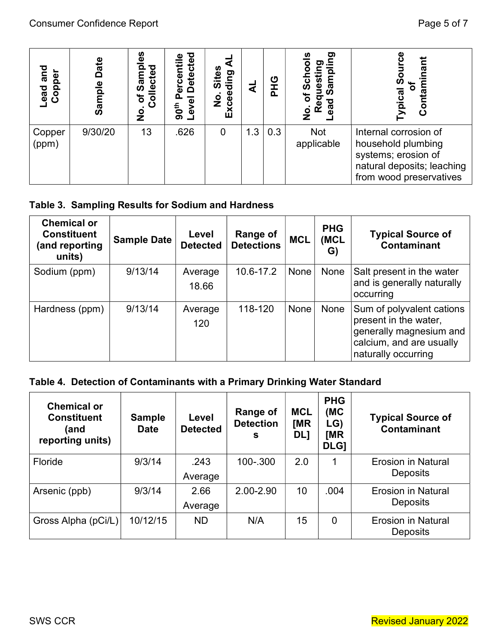| and<br>Copper<br>Lead | Date<br>Sample | <u>es</u><br>ਠ<br>lecte<br><b>RSS</b><br>$\overline{c}$<br>৳<br>o<br>Z | <b>Detected</b><br>centil<br>ው<br>evel<br>90 <sup>th</sup> | Sites<br>Exceeding<br>o<br>Z | ₫   | ပ<br>൨ | <u>တ</u><br>တ<br>Φ<br>U)<br>ഗ<br>৳<br>ਰ<br>ಡ<br>Re<br>$\dot{\mathbf{o}}$<br>Z | တိ<br>pical<br>ā<br>ပိ                                                                                                      |
|-----------------------|----------------|------------------------------------------------------------------------|------------------------------------------------------------|------------------------------|-----|--------|-------------------------------------------------------------------------------|-----------------------------------------------------------------------------------------------------------------------------|
| Copper<br>(ppm)       | 9/30/20        | 13                                                                     | .626                                                       | 0                            | 1.3 | 0.3    | <b>Not</b><br>applicable                                                      | Internal corrosion of<br>household plumbing<br>systems; erosion of<br>natural deposits; leaching<br>from wood preservatives |

### Table 3. Sampling Results for Sodium and Hardness

| <b>Chemical or</b><br><b>Constituent</b><br>(and reporting<br>units) | <b>Sample Date</b> | Level<br><b>Detected</b> | <b>Range of</b><br><b>Detections</b> | <b>MCL</b> | <b>PHG</b><br>(MCL<br>G) | <b>Typical Source of</b><br><b>Contaminant</b>                                                                                   |
|----------------------------------------------------------------------|--------------------|--------------------------|--------------------------------------|------------|--------------------------|----------------------------------------------------------------------------------------------------------------------------------|
| Sodium (ppm)                                                         | 9/13/14            | Average<br>18.66         | 10.6-17.2                            | None       | None                     | Salt present in the water<br>and is generally naturally<br>occurring                                                             |
| Hardness (ppm)                                                       | 9/13/14            | Average<br>120           | 118-120                              | None       | None                     | Sum of polyvalent cations<br>present in the water,<br>generally magnesium and<br>calcium, and are usually<br>naturally occurring |

# Table 4. Detection of Contaminants with a Primary Drinking Water Standard

| <b>Lead and</b><br>Copper                                            | Sample Date                                                                                                                                       | of Samples<br>Collected<br>$\dot{\mathbf{z}}$ | 90 <sup>th</sup> Percentile | Level Detected           | ₹<br>No. Sites<br>Exceeding | <b>DHG</b><br>さ                      |     | No. of Schools                         | Lead Sampling<br>Requesting              | <b>Typical Source</b><br>Contaminant<br>ഁ                                                                                   |  |
|----------------------------------------------------------------------|---------------------------------------------------------------------------------------------------------------------------------------------------|-----------------------------------------------|-----------------------------|--------------------------|-----------------------------|--------------------------------------|-----|----------------------------------------|------------------------------------------|-----------------------------------------------------------------------------------------------------------------------------|--|
| Copper<br>(ppm)                                                      | 9/30/20                                                                                                                                           | 13                                            | .626                        |                          | $\overline{0}$              | 1.3                                  | 0.3 |                                        | <b>Not</b><br>applicable                 | Internal corrosion of<br>household plumbing<br>systems; erosion of<br>natural deposits; leaching<br>from wood preservatives |  |
|                                                                      | Table 3. Sampling Results for Sodium and Hardness                                                                                                 |                                               |                             |                          |                             |                                      |     |                                        |                                          |                                                                                                                             |  |
| <b>Chemical or</b><br><b>Constituent</b><br>(and reporting<br>units) |                                                                                                                                                   | <b>Sample Date</b>                            |                             | Level<br><b>Detected</b> |                             | <b>Range of</b><br><b>Detections</b> |     | <b>MCL</b>                             | <b>PHG</b><br>(MCL<br>G)                 | <b>Typical Source of</b><br>Contaminant                                                                                     |  |
| Sodium (ppm)                                                         |                                                                                                                                                   | 9/13/14                                       |                             | Average<br>18.66         |                             | 10.6-17.2                            |     | None                                   | None                                     | Salt present in the water<br>and is generally naturally<br>occurring                                                        |  |
|                                                                      |                                                                                                                                                   |                                               |                             | Average                  |                             | 118-120                              |     | None                                   | None                                     | Sum of polyvalent cations<br>present in the water,                                                                          |  |
| Hardness (ppm)                                                       |                                                                                                                                                   | 9/13/14                                       |                             | 120                      |                             |                                      |     |                                        |                                          | generally magnesium and<br>calcium, and are usually<br>naturally occurring                                                  |  |
|                                                                      |                                                                                                                                                   |                                               |                             |                          |                             |                                      |     |                                        |                                          |                                                                                                                             |  |
|                                                                      | Table 4. Detection of Contaminants with a Primary Drinking Water Standard<br><b>Chemical or</b><br><b>Constituent</b><br>(and<br>reporting units) | <b>Sample</b><br><b>Date</b>                  |                             | Level<br><b>Detected</b> |                             | Range of<br><b>Detection</b><br>S    |     | <b>MCL</b><br><b>IMR</b><br><b>DL]</b> | <b>PHG</b><br>(MC)<br>LG)<br>[MR<br>DLG] | <b>Typical Source of</b><br><b>Contaminant</b>                                                                              |  |
|                                                                      |                                                                                                                                                   | 9/3/14                                        |                             | .243<br>Average          |                             | 100-.300                             |     | 2.0                                    | 1                                        | <b>Erosion in Natural</b><br><b>Deposits</b>                                                                                |  |
| Floride<br>Arsenic (ppb)                                             |                                                                                                                                                   | 9/3/14                                        |                             | 2.66<br>Average          |                             | 2.00-2.90                            |     | 10                                     | .004                                     | <b>Erosion in Natural</b><br><b>Deposits</b>                                                                                |  |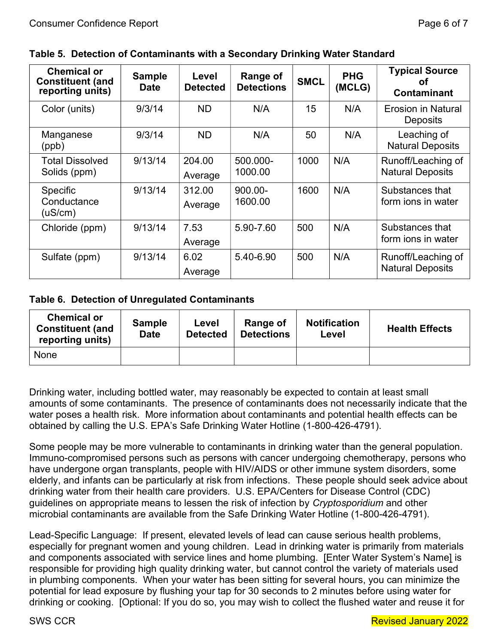| <b>Chemical or</b><br><b>Constituent (and</b><br>reporting units) | <b>Sample</b><br><b>Date</b> | Level<br><b>Detected</b> | <b>Range of</b><br><b>Detections</b> | <b>SMCL</b> | <b>PHG</b><br>(MCLG) | <b>Typical Source</b><br>ΟŤ<br><b>Contaminant</b> |
|-------------------------------------------------------------------|------------------------------|--------------------------|--------------------------------------|-------------|----------------------|---------------------------------------------------|
| Color (units)                                                     | 9/3/14                       | <b>ND</b>                | N/A                                  | 15          | N/A                  | <b>Erosion in Natural</b><br><b>Deposits</b>      |
| Manganese<br>(ppb)                                                | 9/3/14                       | <b>ND</b>                | N/A                                  | 50          | N/A                  | Leaching of<br><b>Natural Deposits</b>            |
| <b>Total Dissolved</b><br>Solids (ppm)                            | 9/13/14                      | 204.00<br>Average        | 500.000-<br>1000.00                  | 1000        | N/A                  | Runoff/Leaching of<br><b>Natural Deposits</b>     |
| <b>Specific</b><br>Conductance<br>$($ uS/cm $)$                   | 9/13/14                      | 312.00<br>Average        | $900.00 -$<br>1600.00                | 1600        | N/A                  | Substances that<br>form jons in water             |
| Chloride (ppm)                                                    | 9/13/14                      | 7.53<br>Average          | 5.90-7.60                            | 500         | N/A                  | Substances that<br>form jons in water             |
| Sulfate (ppm)                                                     | 9/13/14                      | 6.02<br>Average          | 5.40-6.90                            | 500         | N/A                  | Runoff/Leaching of<br><b>Natural Deposits</b>     |

#### Table 5. Detection of Contaminants with a Secondary Drinking Water Standard

#### Table 6. Detection of Unregulated Contaminants

| <b>Chemical or</b><br><b>Constituent (and</b><br>reporting units) | <b>Sample</b><br><b>Date</b> | Level<br><b>Detected</b> | Range of<br><b>Detections</b> | <b>Notification</b><br>Level | <b>Health Effects</b> |
|-------------------------------------------------------------------|------------------------------|--------------------------|-------------------------------|------------------------------|-----------------------|
| None                                                              |                              |                          |                               |                              |                       |

Drinking water, including bottled water, may reasonably be expected to contain at least small amounts of some contaminants. The presence of contaminants does not necessarily indicate that the water poses a health risk. More information about contaminants and potential health effects can be obtained by calling the U.S. EPA's Safe Drinking Water Hotline (1-800-426-4791).

Some people may be more vulnerable to contaminants in drinking water than the general population. Immuno-compromised persons such as persons with cancer undergoing chemotherapy, persons who have undergone organ transplants, people with HIV/AIDS or other immune system disorders, some elderly, and infants can be particularly at risk from infections. These people should seek advice about drinking water from their health care providers. U.S. EPA/Centers for Disease Control (CDC) guidelines on appropriate means to lessen the risk of infection by Cryptosporidium and other microbial contaminants are available from the Safe Drinking Water Hotline (1-800-426-4791).

Lead-Specific Language: If present, elevated levels of lead can cause serious health problems, especially for pregnant women and young children. Lead in drinking water is primarily from materials and components associated with service lines and home plumbing. [Enter Water System's Name] is responsible for providing high quality drinking water, but cannot control the variety of materials used in plumbing components. When your water has been sitting for several hours, you can minimize the potential for lead exposure by flushing your tap for 30 seconds to 2 minutes before using water for drinking or cooking. [Optional: If you do so, you may wish to collect the flushed water and reuse it for